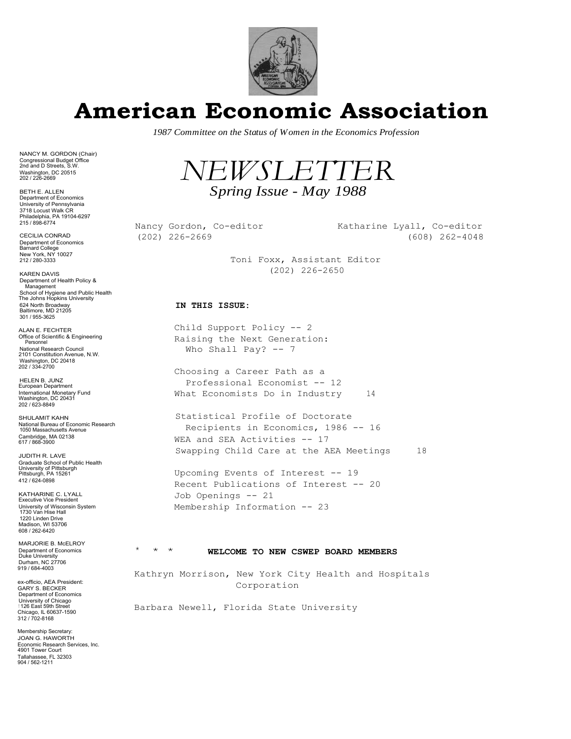

# **American Economic Association**

*1987 Committee on the Status of Women in the Economics Profession*



Nancy Gordon, Co-editor and Katharine Lyall, Co-editor (202) 226-2669 (608) 262-4048

> Toni Foxx, Assistant Editor (202) 226-2650

#### **IN THIS ISSUE:**

Child Support Policy -- 2 Raising the Next Generation: Who Shall Pay? -- 7

Choosing a Career Path as a Professional Economist -- 12 What Economists Do in Industry 14

Statistical Profile of Doctorate Recipients in Economics, 1986 -- 16 WEA and SEA Activities -- 17 Swapping Child Care at the AEA Meetings 18

Upcoming Events of Interest -- 19 Recent Publications of Interest -- 20 Job Openings -- 21 Membership Information -- 23

# \* \* \* **WELCOME TO NEW CSWEP BOARD MEMBERS**

Kathryn Morrison, New York City Health and Hospitals Corporation

Barbara Newell, Florida State University

NANCY M. GORDON (Chair) Congressional Budget Office 2nd and D Streets, S.W. Washington, DC 20515 202 / 226-2669

BETH E. ALLEN Department of Economics University of Pennsylvania 3718 Locust Walk CR Philadelphia, PA 19104-6297 215 / 898-6774

CECILIA CONRAD Department of Economics Barnard College New York, NY 10027 212 / 280-3333

KAREN DAVIS Department of Health Policy & Management School of Hygiene and Public Health The Johns Hopkins University 624 North Broadway Baltimore, MD 21205 301 / 955-3625

ALAN E. FECHTER Office of Scientific & Engineering Personnel National Research Council 2101 Constitution Avenue, N.W. Washington, DC 20418 202 / 334-2700

HELEN B. JUNZ European Department International Monetary Fund Washington, DC 20431 202 / 623-8849

SHULAMIT KAHN National Bureau of Economic Research 1050 Massachusetts Avenue Cambridge, MA 02138 617 / 868-3900

JUDITH R. LAVE Graduate School of Public Health University of Pittsburgh Pittsburgh, PA 15261 412 / 624-0898

KATHARINE C. LYALL Executive Vice President University of Wisconsin System 1730 Van Hise Hall 1220 Linden Drive Madison, WI 53706 608 / 262-6420

MARJORIE B. McELROY Department of Economics Duke University Durham, NC 27706 919 / 684-4003

ex-officio, AEA President: GARY S. BECKER Department of Economics University of Chicago <sup>1</sup> 126 East 59th Street Chicago, IL 60637-1590 312 / 702-8168

Membership Secretary: JOAN G. HAWORTH Economic Research Services, Inc. 4901 Tower Court Tallahassee, FL 32303 904 / 562-1211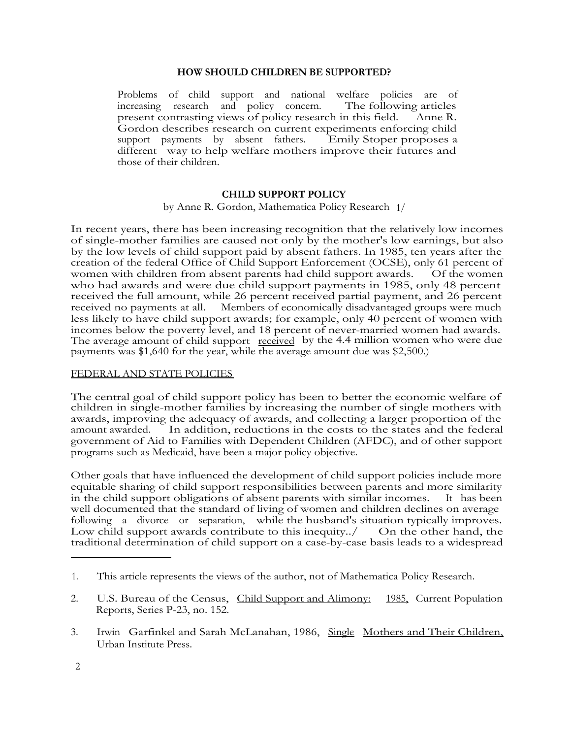# **HOW SHOULD CHILDREN BE SUPPORTED?**

Problems of child support and national welfare policies are of increasing research and policy concern. The following articles present contrasting views of policy research in this field. Anne R. present contrasting views of policy research in this field. Gordon describes research on current experiments enforcing child support payments by absent fathers. Emily Stoper proposes a different way to help welfare mothers improve their futures and those of their children.

# **CHILD SUPPORT POLICY**

by Anne R. Gordon, Mathematica Policy Research 1/

In recent years, there has been increasing recognition that the relatively low incomes of single-mother families are caused not only by the mother's low earnings, but also by the low levels of child support paid by absent fathers. In 1985, ten years after the creation of the federal Office of Child Support Enforcement (OCSE), only 61 percent of women with children from absent parents had child support awards. Of the women who had awards and were due child support payments in 1985, only 48 percent received the full amount, while 26 percent received partial payment, and 26 percent received no payments at all. Members of economically disadvantaged groups were much Members of economically disadvantaged groups were much less likely to have child support awards; for example, only 40 percent of women with incomes below the poverty level, and 18 percent of never-married women had awards. The average amount of child support received by the 4.4 million women who were due payments was \$1,640 for the year, while the average amount due was \$2,500.)

# FEDERAL AND STATE POLICIES

The central goal of child support policy has been to better the economic welfare of children in single-mother families by increasing the number of single mothers with awards, improving the adequacy of awards, and collecting a larger proportion of the In addition, reductions in the costs to the states and the federal government of Aid to Families with Dependent Children (AFDC), and of other support programs such as Medicaid, have been a major policy objective.

Other goals that have influenced the development of child support policies include more equitable sharing of child support responsibilities between parents and more similarity in the child support obligations of absent parents with similar incomes. It has been well documented that the standard of living of women and children declines on average following a divorce or separation, while the husband's situation typically improves. Low child support awards contribute to this inequity../ On the other hand, the traditional determination of child support on a case-by-case basis leads to a widespread

<sup>1.</sup> This article represents the views of the author, not of Mathematica Policy Research.

<sup>2.</sup> U.S. Bureau of the Census, *Child Support and Alimony:* 1985, Current Population Reports, Series P-23, no. 152.

<sup>3.</sup> Irwin Garfinkel and Sarah McLanahan, 1986, Single Mothers and Their Children, Urban Institute Press.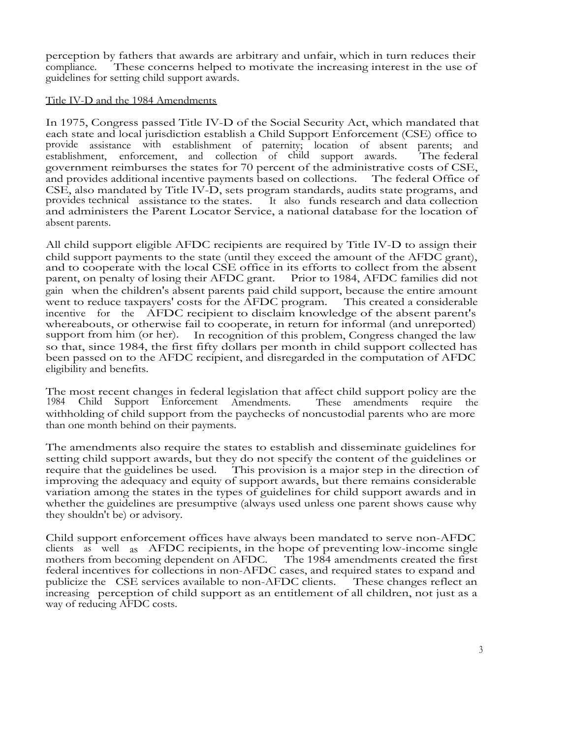perception by fathers that awards are arbitrary and unfair, which in turn reduces their compliance. These concerns helped to motivate the increasing interest in the use of guidelines for setting child support awards.

# Title IV-D and the 1984 Amendments

In 1975, Congress passed Title IV-D of the Social Security Act, which mandated that each state and local jurisdiction establish a Child Support Enforcement (CSE) office to provide assistance with establishment of paternity; location of absent parents; and establishment, enforcement, and collection of child support awards. The federal government reimburses the states for 70 percent of the administrative costs of CSE, and provides additional incentive payments based on collections. The federal Office of CSE, also mandated by Title IV-D, sets program standards, audits state programs, and provides technical assistance to the states. It also funds research and data collection and administers the Parent Locator Service, a national database for the location of absent parents.

All child support eligible AFDC recipients are required by Title IV-D to assign their child support payments to the state (until they exceed the amount of the AFDC grant), and to cooperate with the local CSE office in its efforts to collect from the absent parent, on penalty of losing their AFDC grant. Prior to 1984, AFDC families did not gain when the children's absent parents paid child support, because the entire amount went to reduce taxpayers' costs for the AFDC program. This created a considerable went to reduce taxpayers' costs for the AFDC program. incentive for the AFDC recipient to disclaim knowledge of the absent parent's whereabouts, or otherwise fail to cooperate, in return for informal (and unreported) support from him (or her). In recognition of this problem, Congress changed the law so that, since 1984, the first fifty dollars per month in child support collected has been passed on to the AFDC recipient, and disregarded in the computation of AFDC eligibility and benefits.

The most recent changes in federal legislation that affect child support policy are the 1984 Child Support Enforcement Amendments. These amendments require the 1984 Child Support Enforcement Amendments. withholding of child support from the paychecks of noncustodial parents who are more than one month behind on their payments.

The amendments also require the states to establish and disseminate guidelines for setting child support awards, but they do not specify the content of the guidelines or require that the guidelines be used. This provision is a major step in the direction of improving the adequacy and equity of support awards, but there remains considerable variation among the states in the types of guidelines for child support awards and in whether the guidelines are presumptive (always used unless one parent shows cause why they shouldn't be) or advisory.

Child support enforcement offices have always been mandated to serve non-AFDC clients as well as AFDC recipients, in the hope of preventing low-income single mothers from becoming dependent on AFDC. The 1984 amendments created the first federal incentives for collections in non-AFDC cases, and required states to expand and publicize the CSE services available to non-AFDC clients. These changes reflect an publicize the CSE services available to non-AFDC clients. increasing perception of child support as an entitlement of all children, not just as a way of reducing AFDC costs.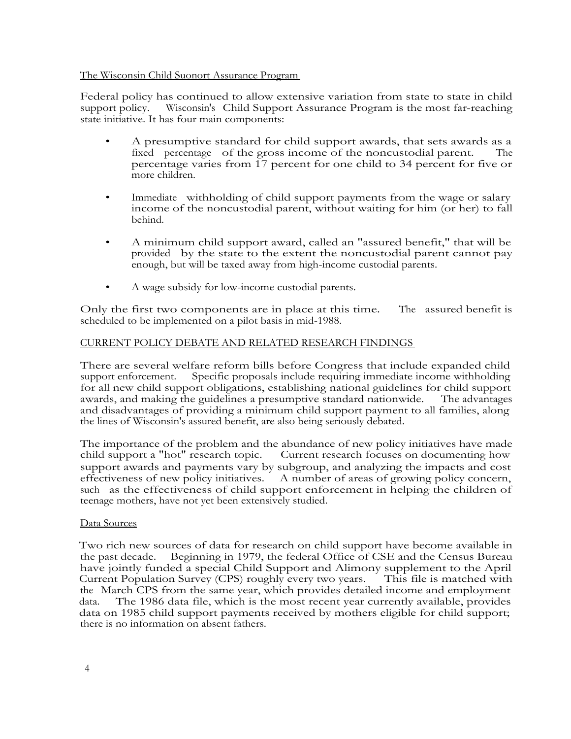# The Wisconsin Child Suonort Assurance Program

Federal policy has continued to allow extensive variation from state to state in child support policy. Wisconsin's Child Support Assurance Program is the most far-reaching state initiative. It has four main components:

- A presumptive standard for child support awards, that sets awards as a fixed percentage of the gross income of the noncustodial parent. The percentage varies from 17 percent for one child to 34 percent for five or more children.
- Immediate withholding of child support payments from the wage or salary income of the noncustodial parent, without waiting for him (or her) to fall behind.
- A minimum child support award, called an "assured benefit," that will be provided by the state to the extent the noncustodial parent cannot pay enough, but will be taxed away from high-income custodial parents.
- A wage subsidy for low-income custodial parents.

Only the first two components are in place at this time. The assured benefit is scheduled to be implemented on a pilot basis in mid-1988.

# CURRENT POLICY DEBATE AND RELATED RESEARCH FINDINGS

There are several welfare reform bills before Congress that include expanded child support enforcement. Specific proposals include requiring immediate income withholding for all new child support obligations, establishing national guidelines for child support awards, and making the guidelines a presumptive standard nationwide. The advantages and disadvantages of providing a minimum child support payment to all families, along the lines of Wisconsin's assured benefit, are also being seriously debated.

The importance of the problem and the abundance of new policy initiatives have made child support a "hot" research topic. Current research focuses on documenting how support awards and payments vary by subgroup, and analyzing the impacts and cost effectiveness of new policy initiatives. A number of areas of growing policy concern, such as the effectiveness of child support enforcement in helping the children of teenage mothers, have not yet been extensively studied.

# Data Sources

Two rich new sources of data for research on child support have become available in the past decade. Beginning in 1979, the federal Office of CSE and the Census Bureau have jointly funded a special Child Support and Alimony supplement to the April Current Population Survey (CPS) roughly every two years. This file is matched with the March CPS from the same year, which provides detailed income and employment data. The 1986 data file, which is the most recent year currently available, provides data on 1985 child support payments received by mothers eligible for child support; there is no information on absent fathers.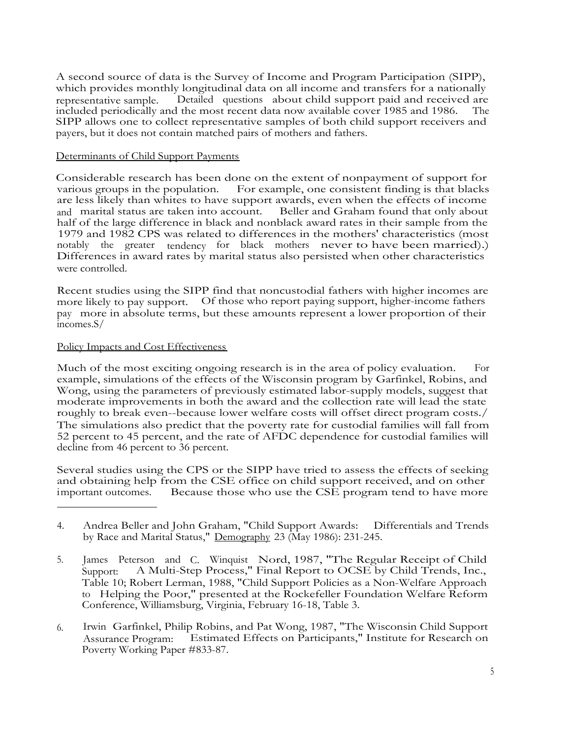A second source of data is the Survey of Income and Program Participation (SIPP), which provides monthly longitudinal data on all income and transfers for a nationally representative sample. Detailed questions about child support paid and received are included periodically and the most recent data now available cover 1985 and 1986. SIPP allows one to collect representative samples of both child support receivers and payers, but it does not contain matched pairs of mothers and fathers.

# Determinants of Child Support Payments

Considerable research has been done on the extent of nonpayment of support for various groups in the population. For example, one consistent finding is that blacks For example, one consistent finding is that blacks are less likely than whites to have support awards, even when the effects of income and marital status are taken into account. Beller and Graham found that only about half of the large difference in black and nonblack award rates in their sample from the 1979 and 1982 CPS was related to differences in the mothers' characteristics (most notably the greater tendency for black mothers never to have been married).) Differences in award rates by marital status also persisted when other characteristics were controlled.

Recent studies using the SIPP find that noncustodial fathers with higher incomes are more likely to pay support. Of those who report paying support, higher-income fathers pay more in absolute terms, but these amounts represent a lower proportion of their incomes.S/

# Policy Impacts and Cost Effectiveness

Much of the most exciting ongoing research is in the area of policy evaluation. For example, simulations of the effects of the Wisconsin program by Garfinkel, Robins, and Wong, using the parameters of previously estimated labor-supply models, suggest that moderate improvements in both the award and the collection rate will lead the state roughly to break even--because lower welfare costs will offset direct program costs./ The simulations also predict that the poverty rate for custodial families will fall from 52 percent to 45 percent, and the rate of AFDC dependence for custodial families will decline from 46 percent to 36 percent.

Several studies using the CPS or the SIPP have tried to assess the effects of seeking and obtaining help from the CSE office on child support received, and on other important outcomes. Because those who use the CSE program tend to have more

- 4. Andrea Beller and John Graham, "Child Support Awards: Differentials and Trends by Race and Marital Status," Demography 23 (May 1986): 231-245.
- 5. James Peterson and C. Winquist Nord, 1987, "The Regular Receipt of Child Support: A Multi-Step Process," Final Report to OCSE by Child Trends, Inc., Table 10; Robert Lerman, 1988, "Child Support Policies as a Non-Welfare Approach to Helping the Poor," presented at the Rockefeller Foundation Welfare Reform Conference, Williamsburg, Virginia, February 16-18, Table 3.
- 6. Irwin Garfinkel, Philip Robins, and Pat Wong, 1987, "The Wisconsin Child Support Assurance Program: Estimated Effects on Participants," Institute for Research on Poverty Working Paper #833-87.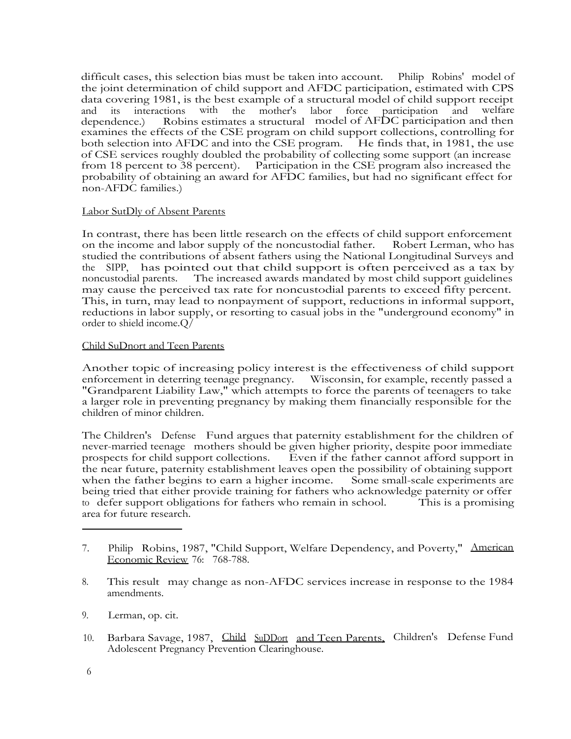difficult cases, this selection bias must be taken into account. Philip Robins' model of the joint determination of child support and AFDC participation, estimated with CPS data covering 1981, is the best example of a structural model of child support receipt<br>and its interactions with the mother's labor force participation and welfare and its interactions with the mother's labor force participation and welfare dependence.) Robins estimates a structural model of AFDC participation and then examines the effects of the CSE program on child support collections, controlling for both selection into AFDC and into the CSE program. He finds that, in 1981, the use of CSE services roughly doubled the probability of collecting some support (an increase from 18 percent to 38 percent). Participation in the CSE program also increased the probability of obtaining an award for AFDC families, but had no significant effect for non-AFDC families.)

# Labor SutDly of Absent Parents

In contrast, there has been little research on the effects of child support enforcement on the income and labor supply of the noncustodial father. Robert Lerman, who has on the income and labor supply of the noncustodial father. studied the contributions of absent fathers using the National Longitudinal Surveys and the SIPP, has pointed out that child support is often perceived as a tax by noncustodial parents. The increased awards mandated by most child support guidelines may cause the perceived tax rate for noncustodial parents to exceed fifty percent. This, in turn, may lead to nonpayment of support, reductions in informal support, reductions in labor supply, or resorting to casual jobs in the "underground economy" in order to shield income.Q/

# Child SuDnort and Teen Parents

Another topic of increasing policy interest is the effectiveness of child support enforcement in deterring teenage pregnancy. Wisconsin, for example, recently passed a "Grandparent Liability Law," which attempts to force the parents of teenagers to take a larger role in preventing pregnancy by making them financially responsible for the children of minor children.

The Children's Defense Fund argues that paternity establishment for the children of never-married teenage mothers should be given higher priority, despite poor immediate prospects for child support collections. Even if the father cannot afford support in the near future, paternity establishment leaves open the possibility of obtaining support when the father begins to earn a higher income. Some small-scale experiments are being tried that either provide training for fathers who acknowledge paternity or offer to defer support obligations for fathers who remain in school. This is a promising to defer support obligations for fathers who remain in school. area for future research.

- 8. This result may change as non-AFDC services increase in response to the 1984 amendments.
- 9. Lerman, op. cit.
- 10. Barbara Savage, 1987, Child SuDDort and Teen Parents, Children's Defense Fund Adolescent Pregnancy Prevention Clearinghouse.

<sup>7.</sup> Philip Robins, 1987, "Child Support, Welfare Dependency, and Poverty," American Economic Review 76: 768-788.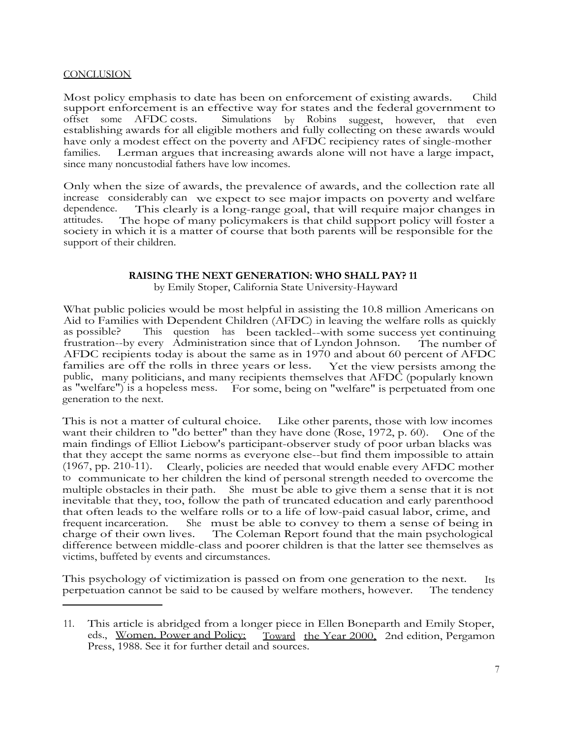# **CONCLUSION**

Most policy emphasis to date has been on enforcement of existing awards. Child support enforcement is an effective way for states and the federal government to offset some AFDC costs. Simulations by Robins suggest, however, that even establishing awards for all eligible mothers and fully collecting on these awards would have only a modest effect on the poverty and AFDC recipiency rates of single-mother families. Lerman argues that increasing awards alone will not have a large impact, since many noncustodial fathers have low incomes.

Only when the size of awards, the prevalence of awards, and the collection rate all increase considerably can we expect to see major impacts on poverty and welfare dependence. This clearly is a long-range goal, that will require major changes in dependence. This clearly is a long-range goal, that will require major changes in attitudes. The hope of many policymakers is that child support policy will foster a The hope of many policymakers is that child support policy will foster a society in which it is a matter of course that both parents will be responsible for the support of their children.

# **RAISING THE NEXT GENERATION: WHO SHALL PAY? 11**

by Emily Stoper, California State University-Hayward

What public policies would be most helpful in assisting the 10.8 million Americans on Aid to Families with Dependent Children (AFDC) in leaving the welfare rolls as quickly as possible? This question has been tackled--with some success yet continuing frustration--by every Administration since that of Lyndon Johnson. The number of frustration--by every Administration since that of Lyndon Johnson. AFDC recipients today is about the same as in 1970 and about 60 percent of AFDC families are off the rolls in three years or less. Yet the view persists among the public, many politicians, and many recipients themselves that AFDC (popularly known as "welfare") is a hopeless mess. For some, being on "welfare" is perpetuated from one generation to the next.

This is not a matter of cultural choice. Like other parents, those with low incomes want their children to "do better" than they have done (Rose, 1972, p. 60). One of the main findings of Elliot Liebow's participant-observer study of poor urban blacks was that they accept the same norms as everyone else--but find them impossible to attain (1967, pp. 210-11). Clearly, policies are needed that would enable every AFDC mother to communicate to her children the kind of personal strength needed to overcome the multiple obstacles in their path. She must be able to give them a sense that it is not inevitable that they, too, follow the path of truncated education and early parenthood that often leads to the welfare rolls or to a life of low-paid casual labor, crime, and frequent incarceration. She must be able to convey to them a sense of being in She must be able to convey to them a sense of being in charge of their own lives. The Coleman Report found that the main psychological difference between middle-class and poorer children is that the latter see themselves as victims, buffeted by events and circumstances.

This psychology of victimization is passed on from one generation to the next. Its perpetuation cannot be said to be caused by welfare mothers, however. The tendency

<sup>11.</sup> This article is abridged from a longer piece in Ellen Boneparth and Emily Stoper, eds., Women. Power and Policy: Toward the Year 2000, 2nd edition, Pergamon Toward the Year 2000, 2nd edition, Pergamon Press, 1988. See it for further detail and sources.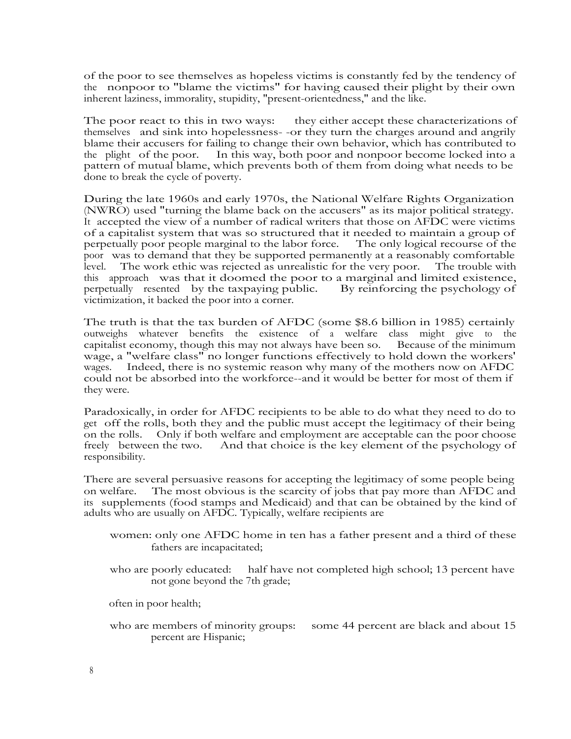of the poor to see themselves as hopeless victims is constantly fed by the tendency of the nonpoor to "blame the victims" for having caused their plight by their own inherent laziness, immorality, stupidity, "present-orientedness," and the like.

The poor react to this in two ways: they either accept these characterizations of themselves and sink into hopelessness- -or they turn the charges around and angrily blame their accusers for failing to change their own behavior, which has contributed to the plight of the poor. In this way, both poor and nonpoor become locked into a pattern of mutual blame, which prevents both of them from doing what needs to be done to break the cycle of poverty.

During the late 1960s and early 1970s, the National Welfare Rights Organization (NWRO) used "turning the blame back on the accusers" as its major political strategy. It accepted the view of a number of radical writers that those on AFDC were victims of a capitalist system that was so structured that it needed to maintain a group of perpetually poor people marginal to the labor force. The only logical recourse of the poor was to demand that they be supported permanently at a reasonably comfortable level. The work ethic was rejected as unrealistic for the very poor. The trouble with this approach was that it doomed the poor to a marginal and limited existence, perpetually resented by the taxpaying public. By reinforcing the psychology of perpetually resented by the taxpaying public. victimization, it backed the poor into a corner.

The truth is that the tax burden of AFDC (some \$8.6 billion in 1985) certainly outweighs whatever benefits the existence of a welfare class might give to the capitalist economy, though this may not always have been so. wage, a "welfare class" no longer functions effectively to hold down the workers' wages. Indeed, there is no systemic reason why many of the mothers now on AFDC could not be absorbed into the workforce--and it would be better for most of them if they were.

Paradoxically, in order for AFDC recipients to be able to do what they need to do to get off the rolls, both they and the public must accept the legitimacy of their being on the rolls. Only if both welfare and employment are acceptable can the poor choose freely between the two. And that choice is the key element of the psychology of And that choice is the key element of the psychology of responsibility.

There are several persuasive reasons for accepting the legitimacy of some people being on welfare. The most obvious is the scarcity of jobs that pay more than AFDC and its supplements (food stamps and Medicaid) and that can be obtained by the kind of adults who are usually on AFDC. Typically, welfare recipients are

- women: only one AFDC home in ten has a father present and a third of these fathers are incapacitated;
- who are poorly educated: half have not completed high school; 13 percent have not gone beyond the 7th grade;

often in poor health;

who are members of minority groups: some 44 percent are black and about 15 percent are Hispanic;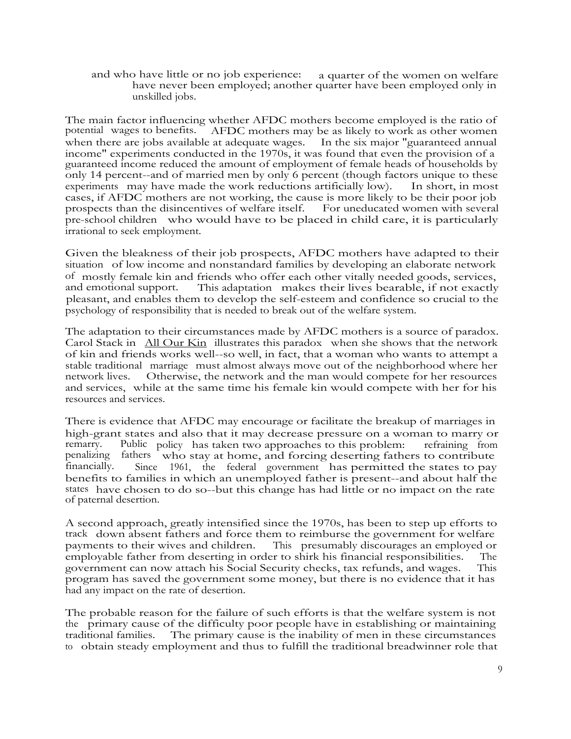# and who have little or no job experience: a quarter of the women on welfare have never been employed; another quarter have been employed only in unskilled jobs.

The main factor influencing whether AFDC mothers become employed is the ratio of potential wages to benefits. AFDC mothers may be as likely to work as other women<br>when there are jobs available at adequate wages. In the six major "guaranteed annual" when there are jobs available at adequate wages. income" experiments conducted in the 1970s, it was found that even the provision of a guaranteed income reduced the amount of employment of female heads of households by only 14 percent--and of married men by only 6 percent (though factors unique to these experiments may have made the work reductions artificially low). In short, in most cases, if AFDC mothers are not working, the cause is more likely to be their poor job prospects than the disincentives of welfare itself. For uneducated women with several pre-school children who would have to be placed in child care, it is particularly irrational to seek employment.

Given the bleakness of their job prospects, AFDC mothers have adapted to their situation of low income and nonstandard families by developing an elaborate network of mostly female kin and friends who offer each other vitally needed goods, services, This adaptation makes their lives bearable, if not exactly pleasant, and enables them to develop the self-esteem and confidence so crucial to the psychology of responsibility that is needed to break out of the welfare system.

The adaptation to their circumstances made by AFDC mothers is a source of paradox. Carol Stack in All Our Kin illustrates this paradox when she shows that the network of kin and friends works well--so well, in fact, that a woman who wants to attempt a stable traditional marriage must almost always move out of the neighborhood where her network lives. Otherwise, the network and the man would compete for her resources and services, while at the same time his female kin would compete with her for his resources and services.

There is evidence that AFDC may encourage or facilitate the breakup of marriages in high-grant states and also that it may decrease pressure on a woman to marry or remarry. Public policy has taken two approaches to this problem: refraining from penalizing fathers who stay at home, and forcing deserting fathers to contribute Since 1961, the federal government has permitted the states to pay benefits to families in which an unemployed father is present--and about half the states have chosen to do so--but this change has had little or no impact on the rate of paternal desertion.

A second approach, greatly intensified since the 1970s, has been to step up efforts to track down absent fathers and force them to reimburse the government for welfare payments to their wives and children. This presumably discourages an employed or This presumably discourages an employed or employable father from deserting in order to shirk his financial responsibilities. The government can now attach his Social Security checks, tax refunds, and wages. This program has saved the government some money, but there is no evidence that it has had any impact on the rate of desertion.

The probable reason for the failure of such efforts is that the welfare system is not the primary cause of the difficulty poor people have in establishing or maintaining traditional families. The primary cause is the inability of men in these circumstances The primary cause is the inability of men in these circumstances to obtain steady employment and thus to fulfill the traditional breadwinner role that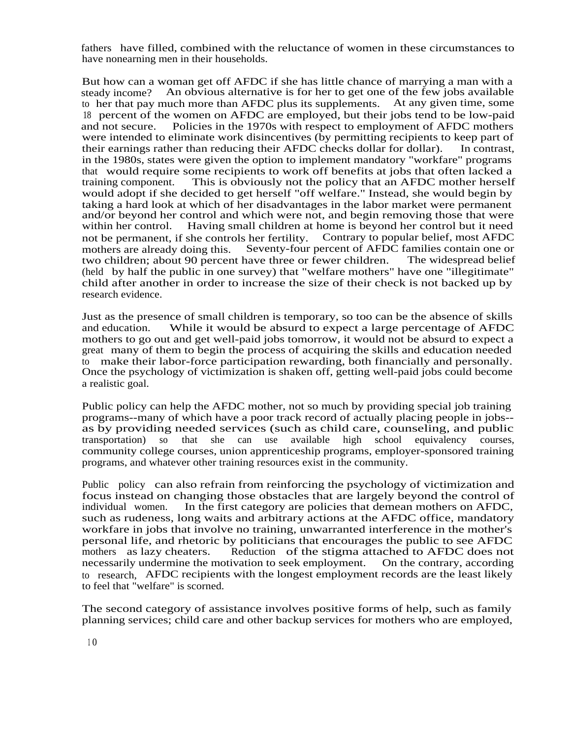fathers have filled, combined with the reluctance of women in these circumstances to have nonearning men in their households.

But how can a woman get off AFDC if she has little chance of marrying a man with a steady income? An obvious alternative is for her to get one of the few jobs available An obvious alternative is for her to get one of the few jobs available to her that pay much more than AFDC plus its supplements. At any given time, some <sup>18</sup> percent of the women on AFDC are employed, but their jobs tend to be low-paid and not secure. Policies in the 1970s with respect to employment of AFDC mothers were intended to eliminate work disincentives (by permitting recipients to keep part of their earnings rather than reducing their AFDC checks dollar for dollar). In contrast, their earnings rather than reducing their AFDC checks dollar for dollar). in the 1980s, states were given the option to implement mandatory "workfare" programs that would require some recipients to work off benefits at jobs that often lacked a training component. This is obviously not the policy that an AFDC mother herself would adopt if she decided to get herself "off welfare." Instead, she would begin by taking a hard look at which of her disadvantages in the labor market were permanent and/or beyond her control and which were not, and begin removing those that were within her control. Having small children at home is beyond her control but it need<br>not be permanent, if she controls her fertility. Contrary to popular belief, most AFDC not be permanent, if she controls her fertility.<br>mothers are already doing this. Seventy-four Seventy-four percent of AFDC families contain one or<br>have three or fewer children. The widespread belief two children; about 90 percent have three or fewer children. (held by half the public in one survey) that "welfare mothers" have one "illegitimate" child after another in order to increase the size of their check is not backed up by research evidence.

Just as the presence of small children is temporary, so too can be the absence of skills While it would be absurd to expect a large percentage of AFDC mothers to go out and get well-paid jobs tomorrow, it would not be absurd to expect a great many of them to begin the process of acquiring the skills and education needed<br>to make their labor-force participation rewarding, both financially and personally. make their labor-force participation rewarding, both financially and personally. Once the psychology of victimization is shaken off, getting well-paid jobs could become a realistic goal.

Public policy can help the AFDC mother, not so much by providing special job training programs--many of which have a poor track record of actually placing people in jobs- as by providing needed services (such as child care, counseling, and public transportation) so that she can use available high school equivalency courses, transportation) so that she can use available high school equivalency courses, community college courses, union apprenticeship programs, employer-sponsored training programs, and whatever other training resources exist in the community.

Public policy can also refrain from reinforcing the psychology of victimization and focus instead on changing those obstacles that are largely beyond the control of individual women. In the first category are policies that demean mothers on AFDC. In the first category are policies that demean mothers on AFDC, such as rudeness, long waits and arbitrary actions at the AFDC office, mandatory workfare in jobs that involve no training, unwarranted interference in the mother's personal life, and rhetoric by politicians that encourages the public to see AFDC mothers as lazy cheaters. Reduction of the stigma attached to AFDC does not necessarily undermine the motivation to seek employment. On the contrary, according necessarily undermine the motivation to seek employment. to research, AFDC recipients with the longest employment records are the least likely to feel that "welfare" is scorned.

The second category of assistance involves positive forms of help, such as family planning services; child care and other backup services for mothers who are employed,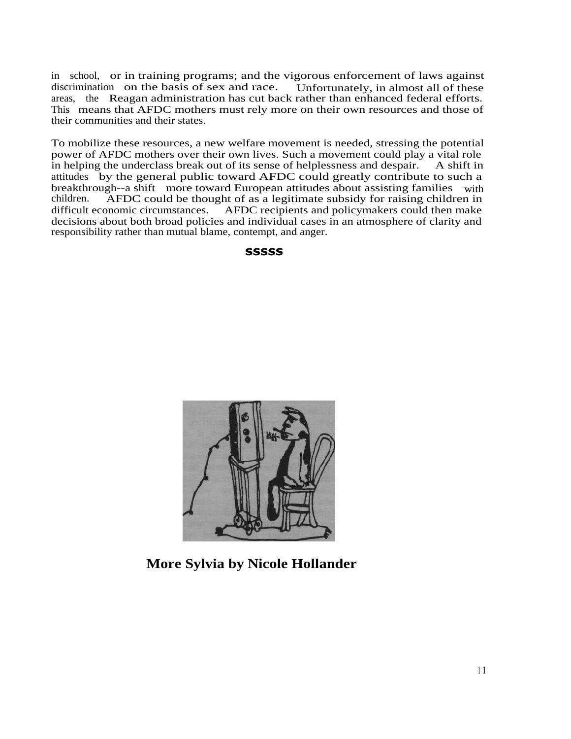in school, or in training programs; and the vigorous enforcement of laws against discrimination on the basis of sex and race. Unfortunately, in almost all of these  $distribution$  on the basis of sex and race. areas, the Reagan administration has cut back rather than enhanced federal efforts. This means that AFDC mothers must rely more on their own resources and those of their communities and their states.

To mobilize these resources, a new welfare movement is needed, stressing the potential power of AFDC mothers over their own lives. Such a movement could play a vital role in helping the underclass break out of its sense of helplessness and despair. A shift in in helping the underclass break out of its sense of helplessness and despair. attitudes by the general public toward AFDC could greatly contribute to such a breakthrough--a shift more toward European attitudes about assisting families with children. AFDC could be thought of as a legitimate subsidy for raising children in children. AFDC could be thought of as a legitimate subsidy for raising children in difficult economic circumstances. AFDC recipients and policymakers could then make AFDC recipients and policymakers could then make decisions about both broad policies and individual cases in an atmosphere of clarity and responsibility rather than mutual blame, contempt, and anger.

# **sssss**



**More Sylvia by Nicole Hollander**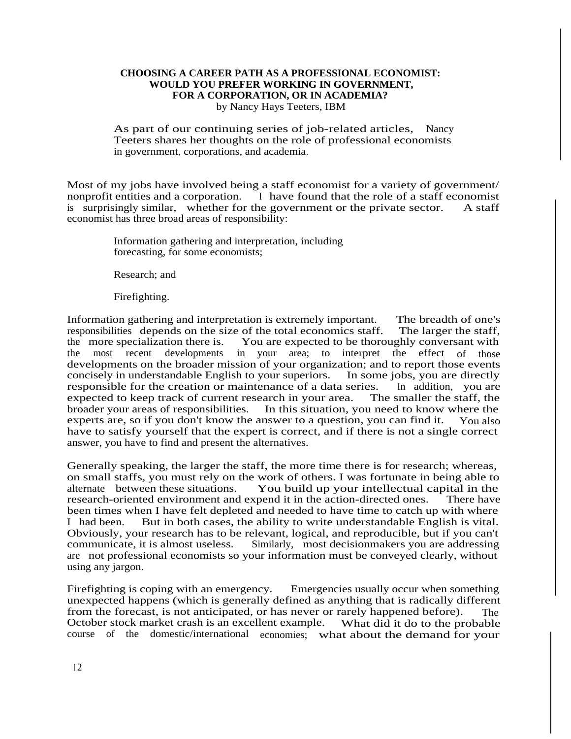# **CHOOSING A CAREER PATH AS A PROFESSIONAL ECONOMIST: WOULD YOU PREFER WORKING IN GOVERNMENT, FOR A CORPORATION, OR IN ACADEMIA?**

by Nancy Hays Teeters, IBM

As part of our continuing series of job-related articles, Nancy Teeters shares her thoughts on the role of professional economists in government, corporations, and academia.

Most of my jobs have involved being a staff economist for a variety of government/ nonprofit entities and a corporation. <sup>I</sup> have found that the role of a staff economist is surprisingly similar, whether for the government or the private sector. A staff economist has three broad areas of responsibility:

> Information gathering and interpretation, including forecasting, for some economists;

Research; and

Firefighting.

Information gathering and interpretation is extremely important. The breadth of one's responsibilities depends on the size of the total economics staff. The larger the staff. responsibilities depends on the size of the total economics staff. the more specialization there is. You are expected to be thoroughly conversant with the most recent developments in your area; to interpret the effect of those developments on the broader mission of your organization; and to report those events concisely in understandable English to your superiors. In some jobs, you are directly concisely in understandable English to your superiors. responsible for the creation or maintenance of a data series. In addition, you are expected to keep track of current research in your area. The smaller the staff, the expected to keep track of current research in your area. broader your areas of responsibilities. In this situation, you need to know where the experts are, so if you don't know the answer to a question, you can find it. You also have to satisfy yourself that the expert is correct, and if there is not a single correct answer, you have to find and present the alternatives.

Generally speaking, the larger the staff, the more time there is for research; whereas, on small staffs, you must rely on the work of others. I was fortunate in being able to alternate between these situations. You build up your intellectual capital in the research-oriented environment and expend it in the action-directed ones. There have been times when I have felt depleted and needed to have time to catch up with where I had been. But in both cases, the ability to write understandable English is vital. Obviously, your research has to be relevant, logical, and reproducible, but if you can't communicate, it is almost useless. Similarly, most decisionmakers you are addressing are not professional economists so your information must be conveyed clearly, without using any jargon.

Firefighting is coping with an emergency. Emergencies usually occur when something unexpected happens (which is generally defined as anything that is radically different from the forecast, is not anticipated, or has never or rarely happened before). The October stock market crash is an excellent example. What did it do to the probable course of the domestic/international economies; what about the demand for your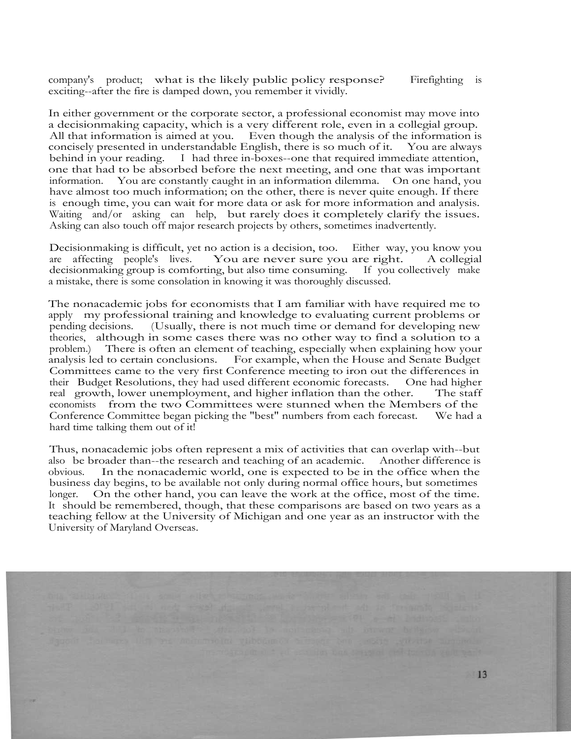company's product; what is the likely public policy response? Firefighting is exciting--after the fire is damped down, you remember it vividly.

In either government or the corporate sector, a professional economist may move into a decisionmaking capacity, which is a very different role, even in a collegial group. All that information is aimed at you. Even though the analysis of the information is concisely presented in understandable English, there is so much of it. You are always behind in your reading. I had three in-boxes--one that required immediate attention, one that had to be absorbed before the next meeting, and one that was important information. You are constantly caught in an information dilemma. On one hand, you have almost too much information; on the other, there is never quite enough. If there is enough time, you can wait for more data or ask for more information and analysis. Waiting and/or asking can help, but rarely does it completely clarify the issues. Asking can also touch off major research projects by others, sometimes inadvertently.

Decisionmaking is difficult, yet no action is a decision, too. Either way, you know you are affecting people's lives. You are never sure you are right. A collegial decisionmaking group is comforting, but also time consuming. If you collectively make decisionmaking group is comforting, but also time consuming. a mistake, there is some consolation in knowing it was thoroughly discussed.

The nonacademic jobs for economists that I am familiar with have required me to apply my professional training and knowledge to evaluating current problems or pending decisions. (Usually, there is not much time or demand for developing new theories, although in some cases there was no other way to find a solution to a problem.) There is often an element of teaching, especially when explaining how your analysis led to certain conclusions. For example, when the House and Senate Budget For example, when the House and Senate Budget Committees came to the very first Conference meeting to iron out the differences in their Budget Resolutions, they had used different economic forecasts. One had higher real growth, lower unemployment, and higher inflation than the other. The staff economists from the two Committees were stunned when the Members of the Conference Committee began picking the "best" numbers from each forecast. We had a hard time talking them out of it!

Thus, nonacademic jobs often represent a mix of activities that can overlap with--but also be broader than--the research and teaching of an academic. Another difference is obvious. In the nonacademic world, one is expected to be in the office when the business day begins, to be available not only during normal office hours, but sometimes longer. On the other hand, you can leave the work at the office, most of the time. It should be remembered, though, that these comparisons are based on two years as a teaching fellow at the University of Michigan and one year as an instructor with the University of Maryland Overseas.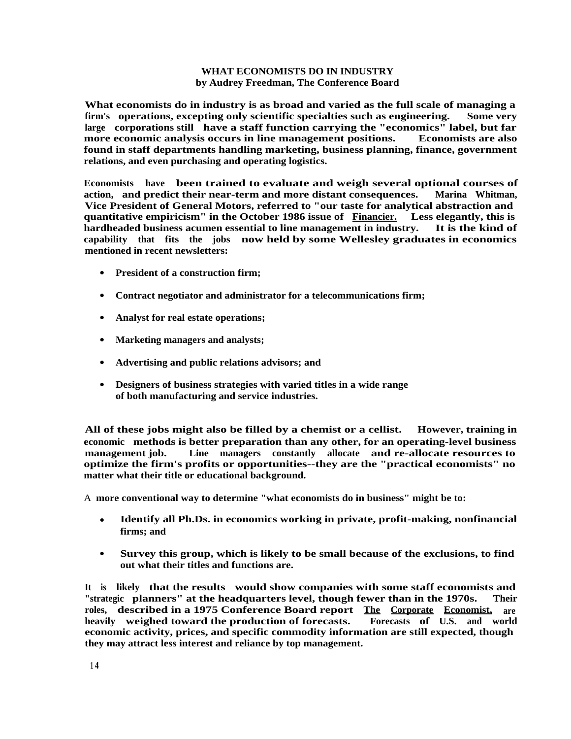# **WHAT ECONOMISTS DO IN INDUSTRY by Audrey Freedman, The Conference Board**

**What economists do in industry is as broad and varied as the full scale of managing a firm's operations, excepting only scientific specialties such as engineering. Some very large corporations still have a staff function carrying the "economics" label, but far more economic analysis occurs in line management positions. Economists are also found in staff departments handling marketing, business planning, finance, government relations, and even purchasing and operating logistics.**

**Economists have been trained to evaluate and weigh several optional courses of action, and predict their near-term and more distant consequences. Marina Whitman, Vice President of General Motors, referred to "our taste for analytical abstraction and quantitative empiricism" in the October 1986 issue of Financier. Less elegantly, this is hardheaded business acumen essential to line management in industry. It is the kind of capability that fits the jobs now held by some Wellesley graduates in economics mentioned in recent newsletters:**

- **President of a construction firm;**
- **Contract negotiator and administrator for a telecommunications firm;**
- **Analyst for real estate operations;**
- **Marketing managers and analysts;**
- **Advertising and public relations advisors; and**
- **Designers of business strategies with varied titles in a wide range of both manufacturing and service industries.**

**All of these jobs might also be filled by a chemist or a cellist. However, training in economic methods is better preparation than any other, for an operating-level business management job. Line managers constantly allocate and re-allocate resources to optimize the firm's profits or opportunities--they are the "practical economists" no matter what their title or educational background.**

A **more conventional way to determine "what economists do in business" might be to:**

- **Identify all Ph.Ds. in economics working in private, profit-making, nonfinancial firms; and**
- **Survey this group, which is likely to be small because of the exclusions, to find out what their titles and functions are.**

**It is likely that the results would show companies with some staff economists and "strategic planners" at the headquarters level, though fewer than in the 1970s. Their roles, described in a 1975 Conference Board report The Corporate Economist, are heavily** weighed toward the production of forecasts. **economic activity, prices, and specific commodity information are still expected, though they may attract less interest and reliance by top management.**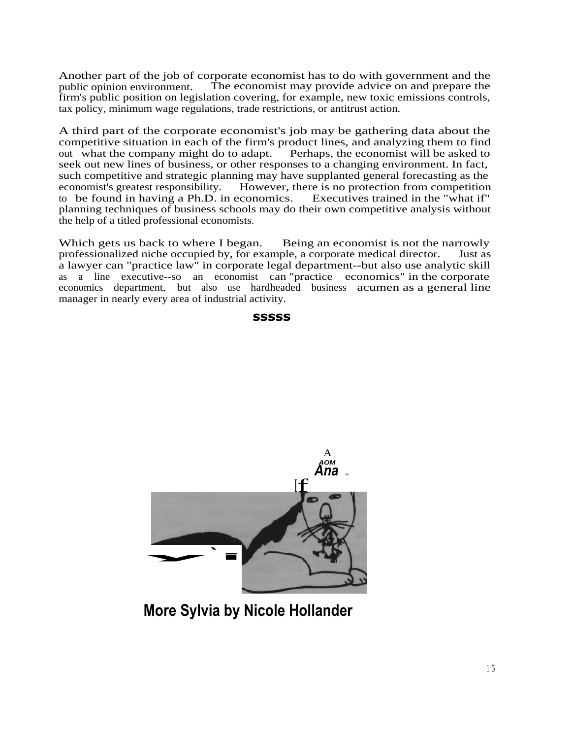Another part of the job of corporate economist has to do with government and the public opinion environment. The economist may provide advice on and prepare the The economist may provide advice on and prepare the firm's public position on legislation covering, for example, new toxic emissions controls, tax policy, minimum wage regulations, trade restrictions, or antitrust action.

A third part of the corporate economist's job may be gathering data about the competitive situation in each of the firm's product lines, and analyzing them to find<br>out what the company might do to adapt. Perhaps, the economist will be asked to out what the company might do to adapt. seek out new lines of business, or other responses to a changing environment. In fact, such competitive and strategic planning may have supplanted general forecasting as the economist's greatest responsibility. However, there is no protection from competition to be found in having a Ph.D. in economics. Executives trained in the "what if" planning techniques of business schools may do their own competitive analysis without the help of a titled professional economists.

Which gets us back to where I began. Being an economist is not the narrowly professionalized niche occupied by, for example, a corporate medical director. Just as a lawyer can "practice law" in corporate legal department--but also use analytic skill as a line executive--so an economist can "practice economics" in the corporate economics department, but also use hardheaded business acumen as a general line manager in nearly every area of industrial activity.

# **sssss**



**More Sylvia by Nicole Hollander**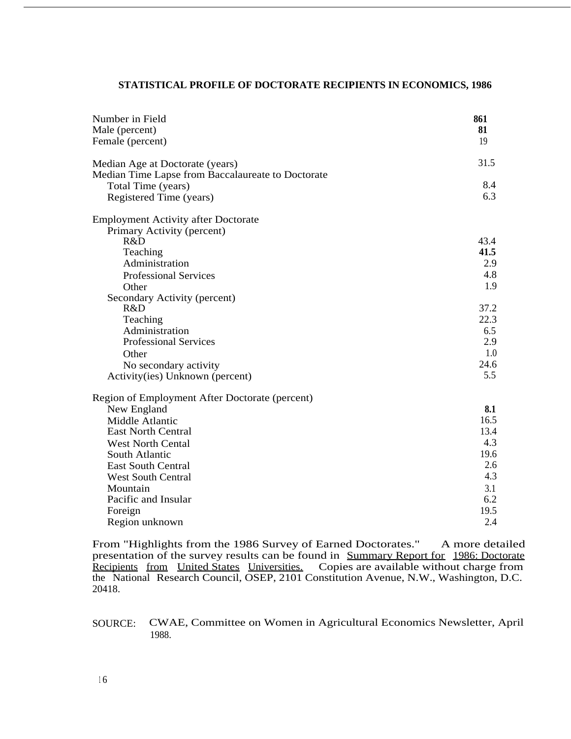# **STATISTICAL PROFILE OF DOCTORATE RECIPIENTS IN ECONOMICS, 1986**

| Number in Field                                   | 861  |
|---------------------------------------------------|------|
| Male (percent)                                    | 81   |
| Female (percent)                                  | 19   |
| Median Age at Doctorate (years)                   | 31.5 |
| Median Time Lapse from Baccalaureate to Doctorate |      |
| Total Time (years)                                | 8.4  |
| Registered Time (years)                           | 6.3  |
| <b>Employment Activity after Doctorate</b>        |      |
| Primary Activity (percent)                        |      |
| R&D                                               | 43.4 |
| Teaching                                          | 41.5 |
| Administration                                    | 2.9  |
| <b>Professional Services</b>                      | 4.8  |
| Other                                             | 1.9  |
| Secondary Activity (percent)                      |      |
| R&D                                               | 37.2 |
| Teaching                                          | 22.3 |
| Administration                                    | 6.5  |
| <b>Professional Services</b>                      | 2.9  |
| Other                                             | 1.0  |
| No secondary activity                             | 24.6 |
| Activity(ies) Unknown (percent)                   | 5.5  |
| Region of Employment After Doctorate (percent)    |      |
| New England                                       | 8.1  |
| Middle Atlantic                                   | 16.5 |
| <b>East North Central</b>                         | 13.4 |
| <b>West North Cental</b>                          | 4.3  |
| South Atlantic                                    | 19.6 |
| <b>East South Central</b>                         | 2.6  |
| <b>West South Central</b>                         | 4.3  |
| Mountain                                          | 3.1  |
| Pacific and Insular                               | 6.2  |
| Foreign                                           | 19.5 |
| Region unknown                                    | 2.4  |

From "Highlights from the 1986 Survey of Earned Doctorates." A more detailed presentation of the survey results can be found in Summary Report for 1986: Doctorate Recipients from United States Universities. Copies are available without charge from the National Research Council, OSEP, 2101 Constitution Avenue, N.W., Washington, D.C. 20418.

SOURCE: CWAE, Committee on Women in Agricultural Economics Newsletter, April 1988.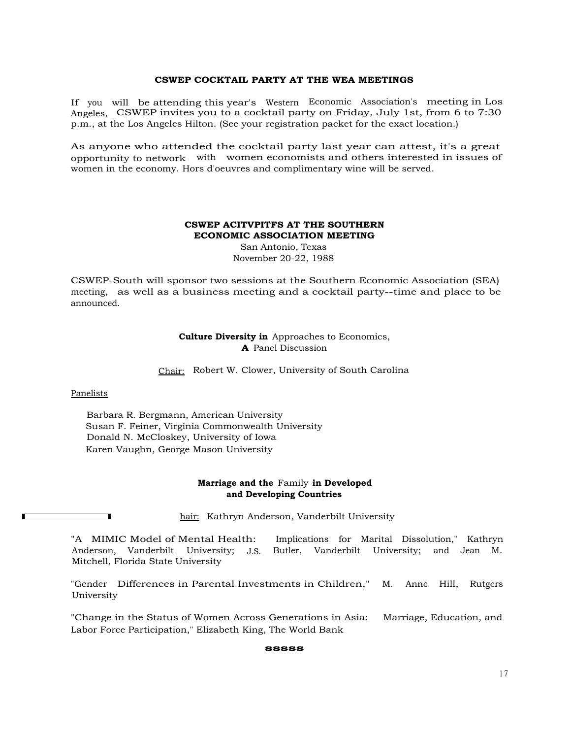#### **CSWEP COCKTAIL PARTY AT THE WEA MEETINGS**

If you will be attending this year's Western Economic Association's meeting in Los Angeles, CSWEP invites you to a cocktail party on Friday, July 1st, from 6 to 7:30 p.m., at the Los Angeles Hilton. (See your registration packet for the exact location.)

As anyone who attended the cocktail party last year can attest, it's a great opportunity to network with women economists and others interested in issues of women in the economy. Hors d'oeuvres and complimentary wine will be served.

# **CSWEP ACITVPITFS AT THE SOUTHERN ECONOMIC ASSOCIATION MEETING**

San Antonio, Texas November 20-22, 1988

CSWEP-South will sponsor two sessions at the Southern Economic Association (SEA) meeting, as well as a business meeting and a cocktail party--time and place to be announced.

> **Culture Diversity in** Approaches to Economics, **A** Panel Discussion

Chair: Robert W. Clower, University of South Carolina

#### **Panelists**

Barbara R. Bergmann, American University Susan F. Feiner, Virginia Commonwealth University Donald N. McCloskey, University of Iowa Karen Vaughn, George Mason University

#### **Marriage and the** Family **in Developed and Developing Countries**

T

hair: Kathryn Anderson, Vanderbilt University

"A MIMIC Model of Mental Health: Implications for Marital Dissolution," Kathryn Anderson, Vanderbilt University; J.S. Butler, Vanderbilt University; and Jean M. Mitchell, Florida State University

"Gender Differences in Parental Investments in Children," M. Anne Hill, Rutgers University

"Change in the Status of Women Across Generations in Asia: Marriage, Education, and Labor Force Participation," Elizabeth King, The World Bank

#### **sssss**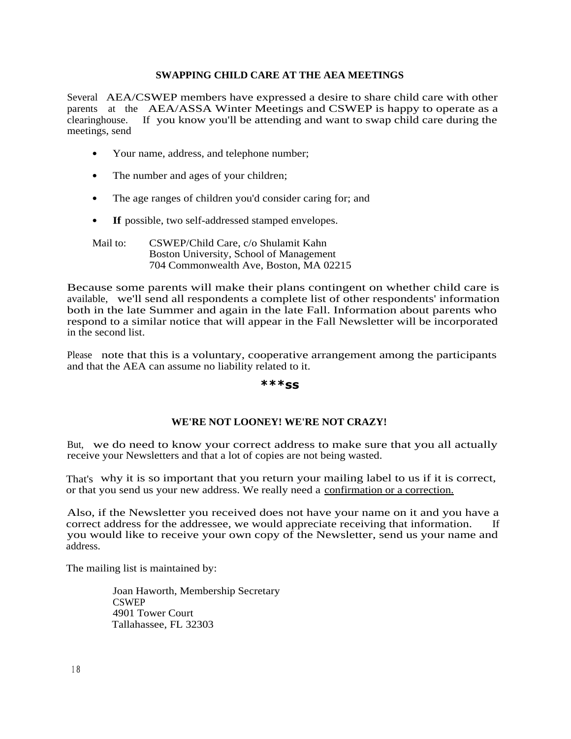# **SWAPPING CHILD CARE AT THE AEA MEETINGS**

Several AEA/CSWEP members have expressed a desire to share child care with other parents at the AEA/ASSA Winter Meetings and CSWEP is happy to operate as a clearinghouse. If you know you'll be attending and want to swap child care during the If you know you'll be attending and want to swap child care during the meetings, send

- Your name, address, and telephone number;
- The number and ages of your children;
- The age ranges of children you'd consider caring for; and
- **If** possible, two self-addressed stamped envelopes.

Mail to: CSWEP/Child Care, c/o Shulamit Kahn Boston University, School of Management 704 Commonwealth Ave, Boston, MA 02215

Because some parents will make their plans contingent on whether child care is available, we'll send all respondents a complete list of other respondents' information both in the late Summer and again in the late Fall. Information about parents who respond to a similar notice that will appear in the Fall Newsletter will be incorporated in the second list.

Please note that this is a voluntary, cooperative arrangement among the participants and that the AEA can assume no liability related to it.

# **\*\*\*ss**

# **WE'RE NOT LOONEY! WE'RE NOT CRAZY!**

But, we do need to know your correct address to make sure that you all actually receive your Newsletters and that a lot of copies are not being wasted.

That's why it is so important that you return your mailing label to us if it is correct, or that you send us your new address. We really need a confirmation or a correction.

Also, if the Newsletter you received does not have your name on it and you have a correct address for the addressee, we would appreciate receiving that information. If you would like to receive your own copy of the Newsletter, send us your name and address.

The mailing list is maintained by:

Joan Haworth, Membership Secretary **CSWEP** 4901 Tower Court Tallahassee, FL 32303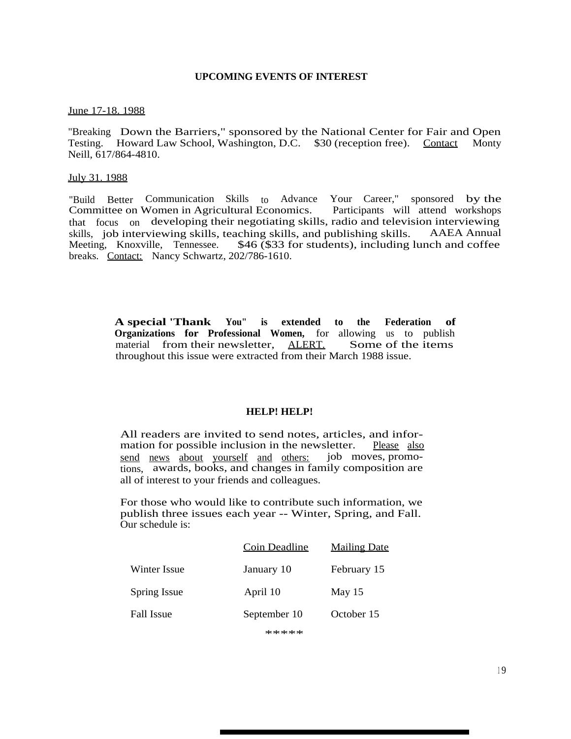# **UPCOMING EVENTS OF INTEREST**

#### June 17-18. 1988

"Breaking Down the Barriers," sponsored by the National Center for Fair and Open<br>Testing. Howard Law School. Washington, D.C. \$30 (reception free). Contact Monty Testing. Howard Law School, Washington, D.C. \$30 (reception free). Contact Neill, 617/864-4810.

#### July 31. 1988

"Build Better Communication Skills to Advance Your Career," sponsored by the Committee on Women in Agricultural Economics. that focus on developing their negotiating skills, radio and television interviewing<br>skills, iob interviewing skills, teaching skills, and publishing skills. AAEA Annual skills, job interviewing skills, teaching skills, and publishing skills. Meeting, Knoxville, Tennessee. \$46 (\$33 for students), including lunch and coffee breaks. Contact: Nancy Schwartz, 202/786-1610.

> **A special 'Thank You" is extended to the Federation of Organizations for Professional Women,** for allowing us to publish material from their newsletter, ALERT. Some of the items throughout this issue were extracted from their March 1988 issue.

#### **HELP! HELP!**

All readers are invited to send notes, articles, and infor-<br>mation for possible inclusion in the newsletter. Please also mation for possible inclusion in the newsletter. send news about yourself and others: job moves, promotions, awards, books, and changes in family composition are all of interest to your friends and colleagues.

For those who would like to contribute such information, we publish three issues each year -- Winter, Spring, and Fall. Our schedule is:

|              | Coin Deadline | <b>Mailing Date</b> |
|--------------|---------------|---------------------|
| Winter Issue | January 10    | February 15         |
| Spring Issue | April 10      | May $15$            |
| Fall Issue   | September 10  | October 15          |
|              |               |                     |

\*\*\*\*\*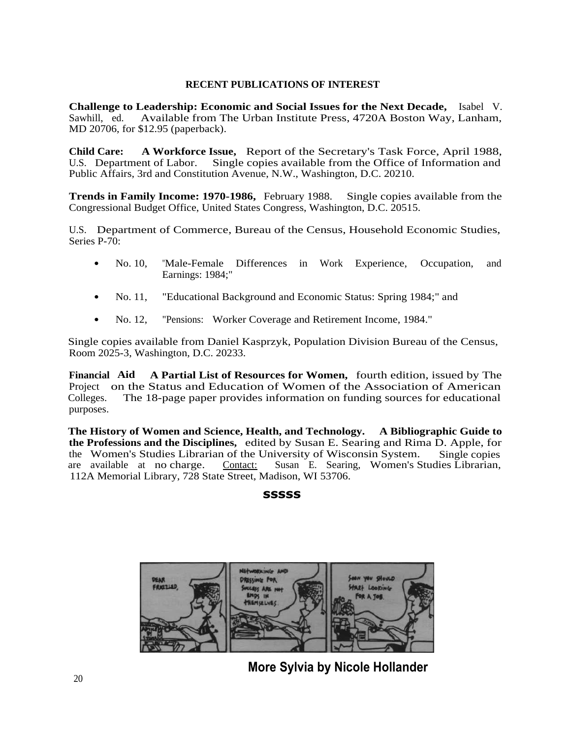# **RECENT PUBLICATIONS OF INTEREST**

**Challenge to Leadership: Economic and Social Issues for the Next Decade,** Isabel V. Available from The Urban Institute Press, 4720A Boston Way, Lanham, MD 20706, for \$12.95 (paperback).

**Child Care: A Workforce Issue,** Report of the Secretary's Task Force, April 1988, U.S. Department of Labor. Single copies available from the Office of Information and Public Affairs, 3rd and Constitution Avenue, N.W., Washington, D.C. 20210.

**Trends in Family Income: 1970-1986,** February 1988. Single copies available from the Congressional Budget Office, United States Congress, Washington, D.C. 20515.

U.S. Department of Commerce, Bureau of the Census, Household Economic Studies, Series P-70:

- No. 10, "Male-Female Differences in Work Experience, Occupation, and Earnings: 1984;"
- No. 11, "Educational Background and Economic Status: Spring 1984;" and
- No. 12, "Pensions: Worker Coverage and Retirement Income, 1984."

Single copies available from Daniel Kasprzyk, Population Division Bureau of the Census, Room 2025-3, Washington, D.C. 20233.

**Financial Aid A Partial List of Resources for Women,** fourth edition, issued by The Project on the Status and Education of Women of the Association of American Colleges. The 18-page paper provides information on funding sources for educational The 18-page paper provides information on funding sources for educational purposes.

**The History of Women and Science, Health, and Technology. A Bibliographic Guide to the Professions and the Disciplines,** edited by Susan E. Searing and Rima D. Apple, for the Women's Studies Librarian of the University of Wisconsin System. Single copies are available at no charge. Contact: Susan E. Searing, Women's Studies Librarian, Susan E. Searing, Women's Studies Librarian, 112A Memorial Library, 728 State Street, Madison, WI 53706.

# **sssss**



**More Sylvia by Nicole Hollander**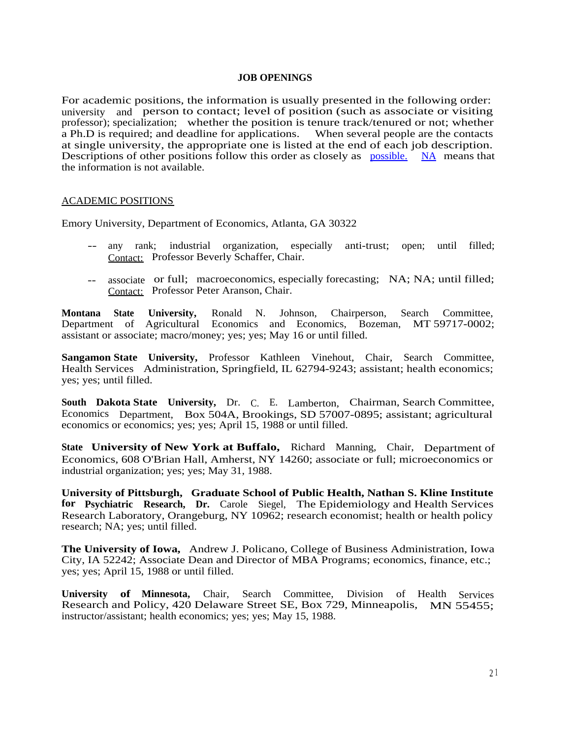# **JOB OPENINGS**

For academic positions, the information is usually presented in the following order: university and person to contact; level of position (such as associate or visiting professor); specialization; whether the position is tenure track/tenured or not; whether a Ph.D is required; and deadline for applications. When several people are the contacts at single university, the appropriate one is listed at the end of each job description. Descriptions of other positions follow this order as closely as [possible.](http://possible.NA) [NA](http://possible.NA) means that the information is not available.

# ACADEMIC POSITIONS

Emory University, Department of Economics, Atlanta, GA 30322

- -- any rank; industrial organization, especially anti-trust; open; until filled; Contact: Professor Beverly Schaffer, Chair.
- -- associate or full; macroeconomics, especially forecasting; NA; NA; until filled; Contact: Professor Peter Aranson, Chair.

**Montana State University,** Ronald N. Johnson, Chairperson, Search Committee, Department of Agricultural Economics and Economics, Bozeman, MT 59717-0002; assistant or associate; macro/money; yes; yes; May 16 or until filled.

**Sangamon State University,** Professor Kathleen Vinehout, Chair, Search Committee, Health Services Administration, Springfield, IL 62794-9243; assistant; health economics; yes; yes; until filled.

**South Dakota State University,** Dr. C. E. Lamberton, Chairman, Search Committee, Economics Department, Box 504A, Brookings, SD 57007-0895; assistant; agricultural economics or economics; yes; yes; April 15, 1988 or until filled.

**State University of New York at Buffalo,** Richard Manning, Chair, Department of Economics, 608 O'Brian Hall, Amherst, NY 14260; associate or full; microeconomics or industrial organization; yes; yes; May 31, 1988.

**University of Pittsburgh, Graduate School of Public Health, Nathan S. Kline Institute for Psychiatric Research, Dr.** Carole Siegel, The Epidemiology and Health Services Research Laboratory, Orangeburg, NY 10962; research economist; health or health policy research; NA; yes; until filled.

**The University of Iowa,** Andrew J. Policano, College of Business Administration, Iowa City, IA 52242; Associate Dean and Director of MBA Programs; economics, finance, etc.; yes; yes; April 15, 1988 or until filled.

**University of Minnesota,** Chair, Search Committee, Division of Health Services Research and Policy, 420 Delaware Street SE, Box 729, Minneapolis, MN 55455; instructor/assistant; health economics; yes; yes; May 15, 1988.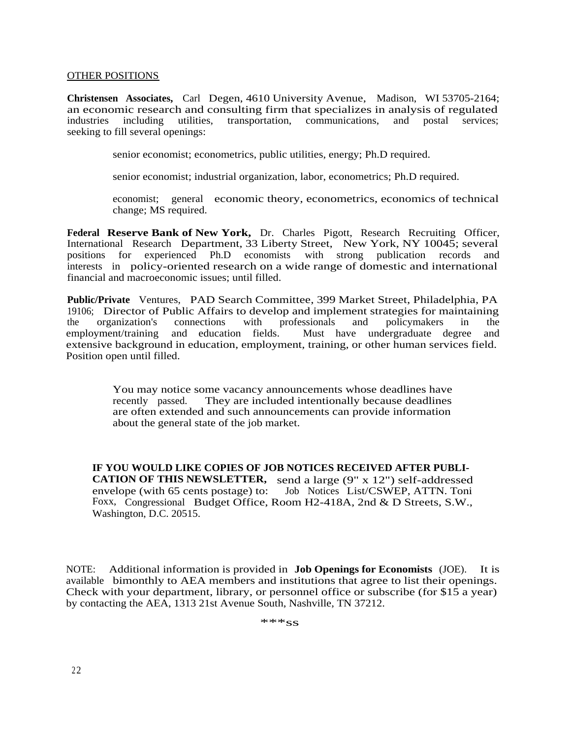## OTHER POSITIONS

**Christensen Associates,** Carl Degen, 4610 University Avenue, Madison, WI 53705-2164; an economic research and consulting firm that specializes in analysis of regulated industries including utilities, transportation, communications, and postal services; industries including utilities, seeking to fill several openings:

senior economist; econometrics, public utilities, energy; Ph.D required.

senior economist; industrial organization, labor, econometrics; Ph.D required.

economist; general economic theory, econometrics, economics of technical change; MS required.

**Federal Reserve Bank of New York,** Dr. Charles Pigott, Research Recruiting Officer, International Research Department, 33 Liberty Street, New York, NY 10045; several positions for experienced Ph.D economists with strong publication records and interests in policy-oriented research on a wide range of domestic and international financial and macroeconomic issues; until filled.

**Public/Private** Ventures, PAD Search Committee, 399 Market Street, Philadelphia, PA 19106; Director of Public Affairs to develop and implement strategies for maintaining<br>the organization's connections with professionals and policymakers in the organization's connections with professionals and policymakers in the vment/training and education fields. Must have undergraduate degree and employment/training and education fields. Must have undergraduate degree and extensive background in education, employment, training, or other human services field. Position open until filled.

> You may notice some vacancy announcements whose deadlines have<br>recently passed. They are included intentionally because deadlines They are included intentionally because deadlines are often extended and such announcements can provide information about the general state of the job market.

**IF YOU WOULD LIKE COPIES OF JOB NOTICES RECEIVED AFTER PUBLI-CATION OF THIS NEWSLETTER,** send a large (9" x 12") self-addressed envelope (with 65 cents postage) to: Job Notices List/CSWEP, ATTN. Toni Foxx, Congressional Budget Office, Room H2-418A, 2nd & D Streets, S.W., Washington, D.C. 20515.

NOTE: Additional information is provided in **Job Openings for Economists** (JOE). It is available bimonthly to AEA members and institutions that agree to list their openings. Check with your department, library, or personnel office or subscribe (for \$15 a year) by contacting the AEA, 1313 21st Avenue South, Nashville, TN 37212.

\*\*\*ss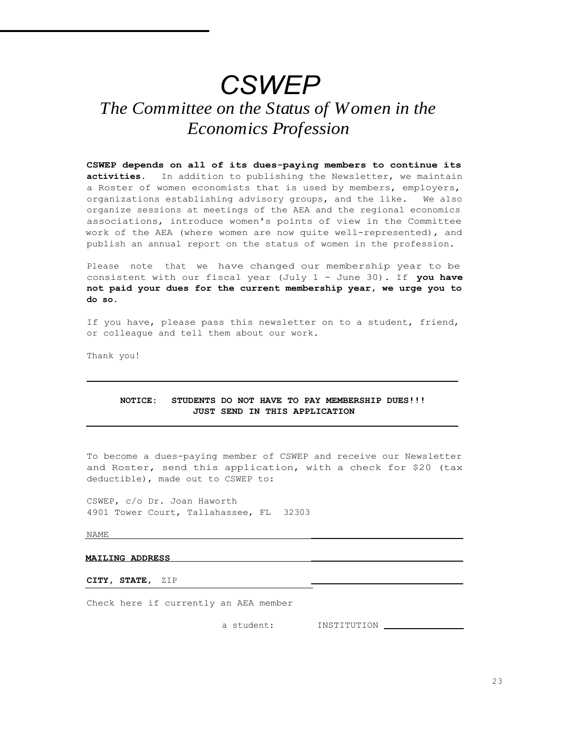# *CSWEP*

# *The Committee on the Status of Women in the Economics Profession*

**CSWEP depends on all of its dues-paying members to continue its activities.** In addition to publishing the Newsletter, we maintain a Roster of women economists that is used by members, employers, organizations establishing advisory groups, and the like. We also organize sessions at meetings of the AEA and the regional economics associations, introduce women's points of view in the Committee work of the AEA (where women are now quite well-represented), and publish an annual report on the status of women in the profession.

Please note that we have changed our membership year to be consistent with our fiscal year (July 1 - June 30). If **you have not paid your dues for the current membership year, we urge you to do so.**

If you have, please pass this newsletter on to a student, friend, or colleague and tell them about our work.

Thank you!

#### **NOTICE: STUDENTS DO NOT HAVE TO PAY MEMBERSHIP DUES!!! JUST SEND IN THIS APPLICATION**

To become a dues-paying member of CSWEP and receive our Newsletter and Roster, send this application, with a check for \$20 (tax deductible), made out to CSWEP to:

CSWEP, c/o Dr. Joan Haworth 4901 Tower Court, Tallahassee, FL 32303

NAME

#### **MAILING ADDRESS**

**CITY, STATE,** ZIP

Check here if currently an AEA member

a student: INSTITUTION